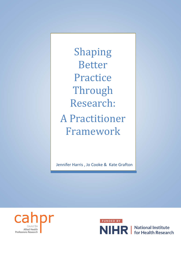Shaping Better Practice Through Research: A Practitioner Framework

Jennifer Harris , Jo Cooke & Kate Grafton





NIHR | National Institute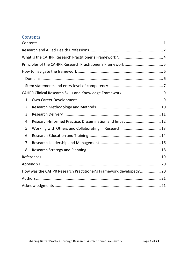## <span id="page-1-0"></span>**Contents**

| 1. |                                                                   |  |
|----|-------------------------------------------------------------------|--|
| 2. |                                                                   |  |
| 3. |                                                                   |  |
| 4. | Research-Informed Practice, Dissemination and Impact 12           |  |
| 5. | Working with Others and Collaborating in Research  13             |  |
| 6. |                                                                   |  |
| 7. |                                                                   |  |
| 8. |                                                                   |  |
|    |                                                                   |  |
|    |                                                                   |  |
|    | How was the CAHPR Research Practitioner's Framework developed? 20 |  |
|    |                                                                   |  |
|    |                                                                   |  |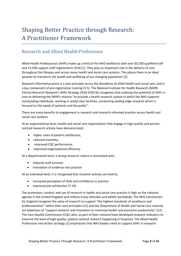# Shaping Better Practice through Research: A Practitioner Framework

#### <span id="page-2-0"></span>Research and Allied Health Professions

Allied Health Professionals (AHPs) make up a third of the NHS workforce with over 65,500 qualified staff and 13,500 support staff registered in 2018 [1]. They play an important role in the delivery of care throughout the lifespan and across many health and social care systems. This places them in an ideal position to transform the health and wellbeing of our changing population [2].

Research informed practice is a core principle across the disciplines of allied health and social care, and is a key component of pre-registration training [3-5]. The National Institute for Health Research (NIHR) Clinical Research Network's AHPs Strategy 2018-2020 [6] recognises that realising the potential of AHPs is core to delivering the NIHR's mission "to provide a health research system in which the NHS supports outstanding individuals, working in world class facilities, conducting leading edge research which is focused on the needs of patients and the public".

There are many benefits to engagement in research and research-informed practice across health and social care systems.

At an organisational level, health and social care organisations that engage in high quality and personcentred research activity have demonstrated;

- higher rates of patient satisfaction,
- reduced mortality,
- improved CQC performance,
- improved organisational efficiency

At a departmental level, a strong research culture is associated with;

- reduced staff turnover
- **•** translation of evidence into practice

At an individual level, it is recognised that research activity can lead to;

- increased perception of skills and confidence in practice
- improved job satisfaction [7-10]

The promotion, conduct and use of research in health and social care practice is high on the national agenda in the United Kingdom and reflects many attitudes and beliefs worldwide. The NHS Constitution for England recognise the value of research to support "the highest standards of excellence and professionalism" within their core principles [11] and the Department of Health and Social Care recently set objectives to "support research and innovation to maximise health and economic productivity" [12] . The Care Quality Commission (CQC) who, as part of their national have developed research indicators to examine the level of high quality, patient-centred research happening in hospitals. The Allied Health Professions into Action strategy [2] emphasises that NHS leaders need to support AHPs in research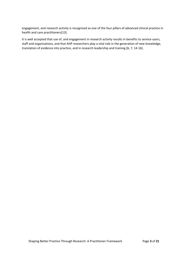engagement, and research activity is recognised as one of the four pillars of advanced clinical practice in health and care practitioners[13].

It is well accepted that use of, and engagement in research activity results in benefits to service-users, staff and organisations, and that AHP researchers play a vital role in the generation of new knowledge, translation of evidence into practice, and in research leadership and training [6, 7, 14-16].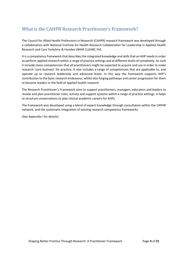## <span id="page-4-0"></span>What is the CAHPR Research Practitioner's Framework?

The Council for Allied Health Professions in Research (CAHPR) research framework was developed through a collaboration with National Institute for Health Research Collaboration for Leadership in Applied Health Research and Care Yorkshire & Humber (NIHR CLAHRC YH).

It is a competency framework that describes the integrated knowledge and skills that an AHP needs in order to perform applied research within a range of practice settings and at different levels of complexity. As such it includes basic competencies that all practitioners might be expected to acquire and use in order to make research 'core business' for practice. It also includes a range of competencies that are applicable to, and operate up to research leadership and advanced levels. In this way the framework supports AHP's contribution to the basic research endeavour, whilst also forging pathways and career progression forthem to become leaders in the field of applied health research.

The Research Practitioner's Framework aims to support practitioners, managers, educators and leaders to review and plan practitioner roles, activity and support systems within a range of practice settings. It helps to structure conversations to plan clinical academic careers for AHPs

The framework was developed using a blend of expert knowledge through consultation within the CAPHR network, and the systematic integration of existing research competency frameworks

(See Appendix I for details)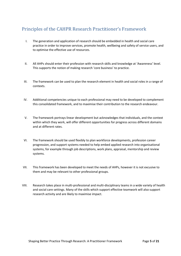### <span id="page-5-0"></span>Principles of the CAHPR Research Practitioner's Framework

- I. The generation and application of research should be embedded in health and social care practice in order to improve services, promote health, wellbeing and safety of service users, and to optimise the effective use of resources.
- II. All AHPs should enter their profession with research skills and knowledge at 'Awareness' level. This supports the notion of making research 'core business' to practice.
- III. The framework can be used to plan the research element in health and social roles in a range of contexts.
- IV. Additional competencies unique to each professional may need to be developed to complement this consolidated framework, and to maximise their contribution to the research endeavour.
- V. The framework portrays linear development but acknowledges that individuals, and the context within which they work, will offer different opportunities for progress across different domains and at different rates.
- VI. The framework should be used flexibly to plan workforce developments, profession career progression, and support systems needed to help embed applied research into organisational systems, for example through job descriptions, work plans, appraisal, mentorship and review systems.
- VII. This framework has been developed to meet the needs of AHPs, however it is not excusive to them and may be relevant to other professional groups.
- VIII. Research takes place in multi-professional and multi-disciplinary teams in a wide variety of health and social care settings. Many of the skills which support effective teamwork will also support research activity and are likely to maximise impact.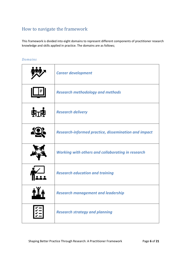## <span id="page-6-0"></span>How to navigate the framework

This framework is divided into eight domains to represent different components of practitioner research knowledge and skills applied in practice. The domains are as follows;

#### <span id="page-6-1"></span>*Domains*

|           | <b>Career development</b>                                   |
|-----------|-------------------------------------------------------------|
|           | <b>Research methodology and methods</b>                     |
| <b>上学</b> | <b>Research delivery</b>                                    |
|           | <b>Research-informed practice, dissemination and impact</b> |
|           | <b>Working with others and collaborating in research</b>    |
|           | <b>Research education and training</b>                      |
|           | <b>Research management and leadership</b>                   |
|           | <b>Research strategy and planning</b>                       |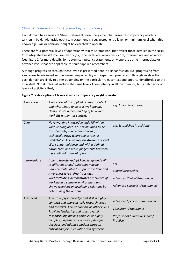#### <span id="page-7-0"></span>*Stem statements and entry level of competency*

Each domain has a series of 'stem' statements describing an applied research competency which is written in bold. Alongside each stem statement is a suggested 'entry level' or minimum level when this knowledge, skill or behaviour might be expected to operate.

There are four potential levels of operation within this framework that reflect those detailed in the NIHR CRN Integrated Workforce Framework [17]. The levels are: awareness, core, intermediate and advanced (see figure 2 for more detail). Some stem competency statements only operate at the intermediate or advance levels that are applicable to senior applied researchers.

Although progression through these levels is presented here in a linear fashion, (i.e. progressing from awareness to advanced with increased responsibility and expertise), progression through levels within each domain are likely to differ depending on the particular role, context and opportunity afforded to the individual. Not all roles will include the same level of competency in all the domains, but a patchwork of levels of activity is likely.

| Awareness           | Awareness of the applied research context<br>and who/where to go to if xyz happens.<br>Demonstrate understanding of how your<br>work fits within this context.                                                                                                                                                                                                     | e.g. Junior Practitioner                                                                                                  |
|---------------------|--------------------------------------------------------------------------------------------------------------------------------------------------------------------------------------------------------------------------------------------------------------------------------------------------------------------------------------------------------------------|---------------------------------------------------------------------------------------------------------------------------|
| Core                | Have working knowledge and skill within<br>your working area. i.e. not assumed to be<br>transferrable; can be learnt even if<br>technically tricky where the context is<br>predictable. Able to support Awareness level.<br>Work under guidance and within defined<br>parameters and make judgements between<br>a predefined range of options.                     | e.g. Established Practitioner                                                                                             |
| <i>Intermediate</i> | Able to transfer/adapt knowledge and skill<br>to different areas/topics that may be<br>unpredictable. Able to support the Core and<br>Awareness levels. Prioritises own<br>work/activities, demonstrates experience of<br>working in a complex environment and<br>shows creativity in developing solutions by<br>determining the options.                          | e.g.<br><b>Clinical Researcher</b><br><b>Advanced Clinical Practitioner</b><br><b>Advanced Specialist Practitioners</b>   |
| Advanced            | Able to apply knowledge and skill in highly<br>complex and unpredictable research areas<br>and contexts. Able to support all other levels.<br>Provides leadership and takes overall<br>responsibility, making complex or highly<br>complex judgements. Conceives, designs<br>develops and adapts solutions through<br>critical analysis, evaluation and synthesis. | <b>Advanced Specialist Practitioners</b><br><b>Consultant Practitioner</b><br>Professor of Clinical Research/<br>Practice |

#### **Figure 2: a description of levels at which competency might operate**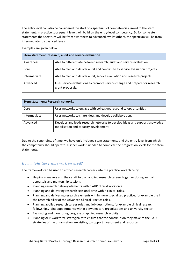The entry level can also be considered the start of a spectrum of competencies linked to the stem statement. In practice subsequent levels will build on the entry-level competency. So for some stem statements the spectrum will be from awareness to advanced, whilst others, the spectrum will be from intermediate to advanced levels.

Examples are given below.

| Stem statement: research, audit and service evaluation |                                                                                                 |  |
|--------------------------------------------------------|-------------------------------------------------------------------------------------------------|--|
| Awareness                                              | Able to differentiate between research, audit and service evaluation.                           |  |
| Core                                                   | Able to plan and deliver audit and contribute to service evaluation projects.                   |  |
| Intermediate                                           | Able to plan and deliver audit, service evaluation and research projects.                       |  |
| Advanced                                               | Uses service evaluations to promote service change and prepare for research<br>grant proposals. |  |

| <b>Stem statement: Research networks</b> |                                                                                                                       |
|------------------------------------------|-----------------------------------------------------------------------------------------------------------------------|
| Core                                     | Uses networks to engage with colleagues respond to opportunities.                                                     |
| Intermediate                             | Uses networks to share ideas and develop collaboration.                                                               |
| Advanced                                 | Develops and leads research networks to develop ideas and support knowledge<br>mobilisation and capacity development. |

Due to the constraints of time, we have only included stem statements and the entry level from which the competency should operate. Further work is needed to complete the progression levels for the stem statements.

#### *How might the framework be used?*

The framework can be used to embed research careers into the practice workplace by

- Helping managers and their staff to plan applied research careers together during annual appraisals and mentorship sessions.
- Planning research delivery elements within AHP clinical workforce.
- Planning and delivering research sessional time within clinical roles.
- Planning and delivering research elements within more specialised practice, for example the in the research pillar of the Advanced Clinical Practice roles.
- Planning applied research career roles and job descriptions, for example clinical research fellowships, joint appointments within between care organisations and university sector.
- Evaluating and monitoring progress of applied research activity.
- Planning AHP workforce strategically to ensure that the contribution they make to the R&D strategies of the organisation are visible, to support investment and resource.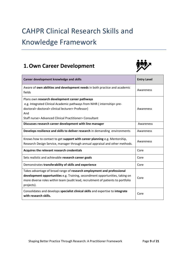# <span id="page-9-0"></span>CAHPR Clinical Research Skills and Knowledge Framework

# <span id="page-9-1"></span>**1.Own Career Development**



| Career development knowledge and skills                                                                                                                                                                                                                  | <b>Entry Level</b> |
|----------------------------------------------------------------------------------------------------------------------------------------------------------------------------------------------------------------------------------------------------------|--------------------|
| Aware of own abilities and development needs in both practice and academic<br>fields                                                                                                                                                                     | Awareness          |
| Plans own research development career pathways<br>e.g. Integrated Clinical Academic pathways from NIHR (internship> pre-<br>doctoral> doctoral> clinical lecturer> Professor)<br>And<br>Staff nurse> Advanced Clinical Practitioner> Consultant          | Awareness          |
| Discusses research career development with line manager                                                                                                                                                                                                  | Awareness          |
| Develops resilience and skills to deliver research in demanding environments                                                                                                                                                                             | Awareness          |
| Knows how to contact to get support with career planning e.g. Mentorship,<br>Research Design Service, manager through annual appraisal and other methods.                                                                                                | Awareness          |
| Acquires the relevant research credentials                                                                                                                                                                                                               | Core               |
| Sets realistic and achievable research career goals                                                                                                                                                                                                      | Core               |
| Demonstrates transferability of skills and experience                                                                                                                                                                                                    | Core               |
| Takes advantage of broad range of research employment and professional<br>development opportunities e.g. Training, secondment opportunities, taking on<br>more diverse roles within team (audit lead, recruitment of patients to portfolio<br>projects). | Core               |
| Consolidates and develops specialist clinical skills and expertise to integrate<br>with research skills.                                                                                                                                                 | Core               |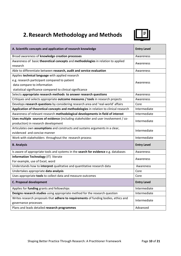# <span id="page-10-0"></span>**2.Research Methodology and Methods**



| A. Scientific concepts and application of research knowledge                           | <b>Entry Level</b> |
|----------------------------------------------------------------------------------------|--------------------|
| Broad awareness of knowledge creation processes                                        | Awareness          |
| Awareness of basic theoretical concepts and methodologies in relation to applied       | Awareness          |
| research                                                                               |                    |
| Able to differentiate between research, audit and service evaluation                   | Awareness          |
| Applies technical language with applied research                                       |                    |
| e.g. research participant compared to patient                                          | Awareness          |
| data compare to information                                                            |                    |
| statistical significance compared to clinical significance                             |                    |
| Selects appropriate research methods to answer research questions                      | Awareness          |
| Critiques and selects appropriate outcome measures / tools in research projects        | Awareness          |
| Develops research questions by considering research area and 'real-world' affairs      | Core               |
| Application of theoretical concepts and methodologies in relation to clinical research | Intermediate       |
| Awareness of relevant research methodological developments in field of interest        | Intermediate       |
| Uses multiple sources of evidence (including stakeholder and user involvement / co-    | Intermediate       |
| production) in research development                                                    |                    |
| Articulates own assumptions and constructs and sustains arguments in a clear,          | Intermediate       |
| evidenced and concise manner                                                           |                    |
| Work with stakeholders throughout the research process                                 | Intermediate       |
| <b>B. Analysis</b>                                                                     | <b>Entry Level</b> |
| Is aware of appropriate tools and systems in the search for evidence e.g. databases    | Awareness          |
| Information Technology (IT) literate                                                   | Awareness          |
| For example, use of Excel, word                                                        |                    |
| Understands how to interpret qualitative and quantitative research data                | Awareness          |
| Undertakes appropriate data analysis                                                   | Core               |
| Uses appropriate tools to collect data and measure outcomes                            | Core               |
| C. Proposal development                                                                | <b>Entry Level</b> |
| Applies for funding grants and fellowships                                             | Intermediate       |
| Designs research studies using appropriate method for the research question            | Intermediate       |
| Writes research proposals that adhere to requirements of funding bodies, ethics and    | Intermediate       |
| governance processes                                                                   |                    |
| Plans and leads detailed research programmes                                           | Advanced           |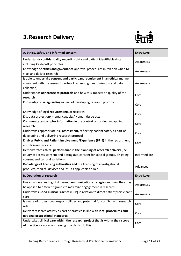# <span id="page-11-0"></span>**3.Research Delivery**



| A. Ethics, Safety and informed consent                                             | <b>Entry Level</b> |
|------------------------------------------------------------------------------------|--------------------|
| Understands confidentiality regarding data and patient identifiable data           |                    |
| including Caldecott principles                                                     | Awareness          |
| Knowledge of ethics and governance approval procedures in relation when to         | Awareness          |
| start and deliver research                                                         |                    |
| Is able to undertake consent and participant recruitment in an ethical manner      |                    |
| consistent with the research protocol (screening, randomization and data           | Awareness          |
| collection)                                                                        |                    |
| Understands adherence to protocols and how this impacts on quality of the          | Core               |
| research                                                                           |                    |
| Knowledge of safeguarding as part of developing research protocol                  | Core               |
|                                                                                    |                    |
| Knowledge of legal requirements of research                                        | Core               |
| E,g. data protection/ mental capacity/ Human tissue acts                           |                    |
| Communicates complex information in the context of conducting applied              | Core               |
| research                                                                           |                    |
| Undertakes appropriate risk assessment, reflecting patient safety as part of       | Core               |
| developing and delivering research protocol                                        |                    |
| Enables Public and Patient Involvement / Experience (PPIE) in the recruitment      | Core               |
| and delivery process                                                               |                    |
| Demonstrates ethical performance in the planning of research delivery (inc         |                    |
| equity of access, consent and opting out, consent for special groups, on-going     | Intermediate       |
| consent and cultural variation)                                                    |                    |
| Knowledge of licensing authorities and the licensing of investigational            | Advanced           |
| products, medical devices and IMP as applicable to role                            |                    |
| <b>B. Operation of research</b>                                                    | <b>Entry Level</b> |
| Has an understanding of different communication strategies and how they may        | Awareness          |
| be applied to different groups to maximize engagement in research                  |                    |
| Undertakes Good Clinical Practice (GCP) in relation to direct patient/participant  |                    |
| care                                                                               | Awareness          |
| Is aware of professional responsibilities and potential for conflict with research | Core               |
| role                                                                               |                    |
| Delivers research activity as part of practice in line with local procedures and   | Core               |
| national occupational standards                                                    |                    |
| Undertakes clinical care within the research project that is within their scope    | Core               |
| of practice, or accesses training in order to do this                              |                    |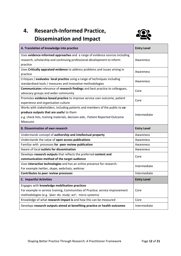# <span id="page-12-0"></span>**4. Research-Informed Practice, Dissemination and Impact**



| A. Translation of knowledge into practice                                     | <b>Entry Level</b> |
|-------------------------------------------------------------------------------|--------------------|
| Uses evidence-informed approaches and a range of evidence sources including   |                    |
| research, scholarship and continuing professional development to inform       | Awareness          |
| practice                                                                      |                    |
| Uses Critically appraised evidence to address problems and issues arising in  | Awareness          |
| practice                                                                      |                    |
| Critiques / evaluates local practice using a range of techniques including    | Awareness          |
| standardised tools / measures and innovative methodologies                    |                    |
| Communicates relevance of research findings and best practice to colleagues,  | Core               |
| advocacy groups and wider community                                           |                    |
| Promotes evidence-based practice to improve service user outcome, patient     | Core               |
| experience and organisation culture                                           |                    |
| Works with stakeholders, including patients and members of the public to co-  |                    |
| produce outputs that are useful to them                                       | Intermediate       |
| e.g. check lists, training materials, decision aids, Patient Reported Outcome |                    |
| <b>Measures</b>                                                               |                    |
|                                                                               |                    |
| <b>B. Dissemination of own research</b>                                       | <b>Entry Level</b> |
| Understands concept of authorship and intellectual property                   | Awareness          |
| Understands the value of open access publications                             | Awareness          |
| Familiar with processes for peer review publication                           | Awareness          |
| Aware of local outlets for dissemination                                      | Awareness          |
| Develops research outputs that reflects the preferred content and             | Core               |
| communication method of the target audience                                   |                    |
| Uses interactive technologies and has an online presence for research.        |                    |
| For example twitter, skype, webchats, webinar                                 | Intermediate       |
| Contributes to peer review processes                                          | Intermediate       |
| <b>C. Impactful Activities</b>                                                | <b>Entry Level</b> |
| Engages with knowledge mobilisation practices                                 |                    |
| For example in service training, Communities of Practice; service improvement | Core               |
| methodologies (e.g. 'plan: do: study: act'; micro systems)                    |                    |
| Knowledge of what research impact is and how this can be measured             | Core               |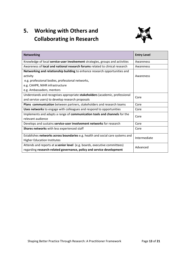# <span id="page-13-0"></span>**5. Working with Others and Collaborating in Research**



| <b>Networking</b>                                                                   | <b>Entry Level</b> |
|-------------------------------------------------------------------------------------|--------------------|
| Knowledge of local service-user involvement strategies, groups and activities       | Awareness          |
| Awareness of <b>local and national research forums</b> related to clinical research | Awareness          |
| Networking and relationship building to enhance research opportunities and          |                    |
| activity                                                                            | Awareness          |
| e.g. professional bodies, professional networks,                                    |                    |
| e.g. CAHPR, NIHR infrastructure                                                     |                    |
| e.g. Ambassadors, mentors                                                           |                    |
| Understands and recognises appropriate stakeholders (academic, professional         | Core               |
| and service users) to develop research proposals                                    |                    |
| Plans communication between partners, stakeholders and research teams               | Core               |
| Uses networks to engage with colleagues and respond to opportunities                | Core               |
| Implements and adapts a range of communication tools and channels for the           | Core               |
| relevant audience                                                                   |                    |
| Develops and sustains service-user involvement networks for research                | Core               |
| Shares networks with less experienced staff                                         | Core               |
| Establishes networks across boundaries e.g. health and social care systems and      | Intermediate       |
| <b>Higher Education Institutes</b>                                                  |                    |
| Attends and reports at a senior level (e.g. boards, executive committees)           | Advanced           |
| regarding research-related governance, policy and service development               |                    |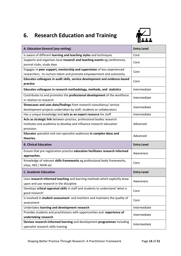# <span id="page-14-0"></span>**6. Research Education and Training**



| A. Education General (any setting)                                                                                                                         | <b>Entry Level</b> |
|------------------------------------------------------------------------------------------------------------------------------------------------------------|--------------------|
| Is aware of different learning and teaching styles and techniques                                                                                          | Core               |
| Supports and organises local research and teaching events eg conferences,<br>journal clubs, study days                                                     | Core               |
| Engages in peer support, mentorship and supervision of less-experienced<br>researchers, to nurture talent and promote empowerment and autonomy             | Core               |
| Educates colleagues in audit skills, service development and evidence-based<br>practice                                                                    | Core               |
| Educates colleagues in research methodology, methods, and statistics                                                                                       | Intermediate       |
| Contributes to and promotes the professional development of the workforce<br>in relation to research                                                       | Intermediate       |
| Showcases and uses data/findings from research consultancy/ service<br>development projects undertaken by staff, students or collaborators                 | Intermediate       |
| Has a unique knowledge and acts as an expert resource for staff                                                                                            | Intermediate       |
| Acts as strategic link between practice, professional bodies research<br>institutes and academia to develop and influence research education<br>provision. | Advanced           |
| Educates specialist and non-specialist audiences in complex ideas and<br>theories.                                                                         | Advanced           |
| <b>B. Clinical Education</b>                                                                                                                               | <b>Entry Level</b> |
| Ensure that pre-registration practice education facilitates research informed<br>approaches.                                                               | Awareness          |
| Knowledge of relevant skills frameworks eg professional body frameworks,<br>vitae, HEE / NIHR etc                                                          | Core               |
| <b>C. Academic Education</b>                                                                                                                               | <b>Entry Level</b> |
| Uses research informed teaching and learning methods which explicitly draw<br>upon and use research in the discipline                                      | Awareness          |
| Develops critical appraisal skills in staff and students to understand 'what is<br>good research'                                                          | Core               |
| Is involved in student assessment and monitors and maintains the quality of<br>assessment                                                                  | Core               |
| Undertakes learning and development research                                                                                                               | Intermediate       |
| Provides students and practitioners with opportunities and experience of                                                                                   |                    |
| undertaking research                                                                                                                                       | Intermediate       |
| Devises research-informed learning and development programmes including<br>specialist research skills training                                             | Intermediate       |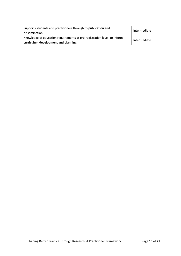| Supports students and practitioners through to publication and<br>dissemination. | Intermediate |  |
|----------------------------------------------------------------------------------|--------------|--|
| Knowledge of education requirements at pre-registration level to inform          | Intermediate |  |
| curriculum development and planning                                              |              |  |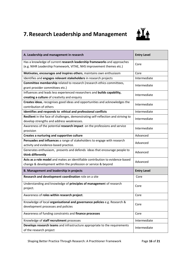# <span id="page-16-0"></span>**7.Research Leadership and Management**



| A. Leadership and management in research                                                                                                         | <b>Entry Level</b> |  |
|--------------------------------------------------------------------------------------------------------------------------------------------------|--------------------|--|
| Has a knowledge of current research leadership frameworks and approaches<br>(e.g. NIHR Leadership Framework, VITAE, NHS improvement themes etc.) | Core               |  |
| Motivates, encourages and inspires others, maintains own enthusiasm                                                                              | Core               |  |
| Identifies and engages relevant stakeholders in research projects                                                                                | Intermediate       |  |
| Committee membership related to research (research ethics committees,<br>grant provider committees etc.)                                         | Intermediate       |  |
| Influences and leads less experienced researchers and builds capability,                                                                         | Intermediate       |  |
| creating a culture of creativity and enquiry                                                                                                     |                    |  |
| Creates ideas, recognises good ideas and opportunities and acknowledges the<br>contribution of others                                            | Intermediate       |  |
| Identifies and responds to ethical and professional conflicts                                                                                    | Intermediate       |  |
| Resilient in the face of challenges, demonstrating self-reflection and striving to<br>develop strengths and address weaknesses.                  | Intermediate       |  |
| Awareness of the potential research impact on the professions and service<br>provision                                                           | Intermediate       |  |
| Creates a nurturing and supportive culture                                                                                                       | Advanced           |  |
| Persuades and influences a range of stakeholders to engage with research                                                                         | Advanced           |  |
| activity and evidence-based practice.                                                                                                            |                    |  |
| Generates enthusiasm, presents and defends ideas that encourage people to<br>think differently                                                   | Advanced           |  |
| Acts as a role model and makes an identifiable contribution to evidence-based                                                                    |                    |  |
| change & development within the profession or service & beyond                                                                                   | Advanced           |  |
| <b>B. Management and leadership in projects</b>                                                                                                  | <b>Entry Level</b> |  |
| Research and development coordination role on a site                                                                                             | Core               |  |
| Understanding and knowledge of principles of management of research<br>project.                                                                  | Core               |  |
| Awareness of roles within research project.                                                                                                      | Core               |  |
| Knowledge of local organisational and governance policies e.g. Research &<br>development processes and policies                                  | Core               |  |
| Awareness of funding constraints and finance processes                                                                                           | Core               |  |
| Knowledge of staff recruitment processes                                                                                                         | Intermediate       |  |
| Develops research teams and infrastructure appropriate to the requirements<br>of the research project                                            | Intermediate       |  |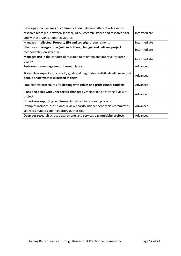| Develops effective lines of communication between different roles within                |              |  |
|-----------------------------------------------------------------------------------------|--------------|--|
| research team (i.e. between sponsor, NHS Research Offices and research site)            | Intermediate |  |
| and within organisational structures                                                    |              |  |
| Manages Intellectual Property (IP) and copyright requirements                           | Intermediate |  |
| Effectively manages time (self and others), budget and delivers project<br>Intermediate |              |  |
| component(s) on schedule                                                                |              |  |
| Manages risk in the conduct of research to maintain and improve research                |              |  |
| quality                                                                                 | Intermediate |  |
| Performance management of research team                                                 | Advanced     |  |
| States clear expectations, clarify goals and negotiates realistic deadlines so that     |              |  |
| people know what is expected of them                                                    | Advanced     |  |
| Implements procedures for dealing with ethics and professional conflicts                | Advanced     |  |
| Plans and deals with unexpected changes by maintaining a strategic view of              |              |  |
| project                                                                                 | Advanced     |  |
| Undertakes reporting requirements related to research projects                          |              |  |
| Examples include: institutional review boards/independent ethics committees,            | Advanced     |  |
| sponsors, funders and regulatory authorities                                            |              |  |
| Oversees research across departments and services e.g. multisite projects.              | Advanced     |  |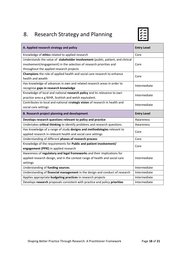# <span id="page-18-0"></span>8. Research Strategy and Planning



| A. Applied research strategy and policy                                         | <b>Entry Level</b> |  |
|---------------------------------------------------------------------------------|--------------------|--|
| Knowledge of ethics related to applied research                                 | Core               |  |
| Understands the value of stakeholder involvement (public, patient, and clinical |                    |  |
| involvement/engagement) in the selection of research priorities and             | Core               |  |
| throughout the applied research projects                                        |                    |  |
| Champions the role of applied health and social care research to enhance        | Core               |  |
| health and wealth                                                               |                    |  |
| Has knowledge of advances in own and related research areas in order to         | Intermediate       |  |
| recognise gaps in research knowledge                                            |                    |  |
| Knowledge of local and national research policy and its relevance to own        | Intermediate       |  |
| practice area e.g NIHR, Scottish and welsh equivalent.                          |                    |  |
| Contributes to local and national strategic vision of research in health and    | Intermediate       |  |
| social care settings                                                            |                    |  |
| <b>B. Research project planning and development</b>                             | <b>Entry Level</b> |  |
| Develops research questions relevant to policy and practice                     | Awareness          |  |
| Undertakes critical thinking to identify problems and research questions.       | Awareness          |  |
| Has knowledge of a range of study designs and methodologies relevant to         |                    |  |
| applied research in relevant health and social care settings                    | Core               |  |
| Understanding of different phases of research process                           | Core               |  |
| Knowledge of the requirements for Public and patient involvement/               | Core               |  |
| engagement (PPIE) in applied research                                           |                    |  |
| Awareness of regulatory and legal frameworks and their implications for         |                    |  |
| applied research design, and in the context range of health and social care     | Intermediate       |  |
| settings                                                                        |                    |  |
| Understanding of funding sources.                                               | Intermediate       |  |
| Understanding of financial management in the design and conduct of research     | Intermediate       |  |
| Applies appropriate budgeting practices in research projects                    | Intermediate       |  |
| Develops research proposals consistent with practice and policy priorities      | Intermediate       |  |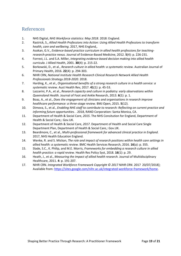#### <span id="page-19-0"></span>References

- 1. NHS Digital, *NHS Workforce statistics: May 2018*. 2018: England.
- 2. Rastrick, S., *Allied Health Professions into Action: Using Allied Health Professions to transform health, care and wellbeing*. 2017, NHS England,.
- 3. Asokan, G.V., *Evidence-based practice curriculum in allied health professions for teachingresearch-practice nexus.* Journal of Evidence-Based Medicine, 2012. **5**(4): p. 226-231.
- 4. Forrest, J.L. and S.A. Miller, *Integrating evidence-based decision making into allied health curricula.* J Allied Health, 2001. **30**(4): p. 215-22.
- 5. Borkowski, D., et al., *Research culture in allied health: a systematic review.* Australian Journal of Primary Health, 2016. **22**(4): p. 294-303.
- 6. NIHR CRN, *National Institute Health Research Clinical Research Network Allied Health Professionals Strategy 2018-2020*. 2018.
- 7. Harding, K., et al., *Organisational benefits of a strong research culture in a health service: a systematic review.* Aust Health Rev, 2017. **41**(1): p. 45-53.
- 8. Lazzarini, P.A., et al., *Research capacity and culture in podiatry: early observations within Queensland Health.* Journal of Foot and Ankle Research, 2013. **6**(1): p. 1.
- 9. Boaz, A., et al., *Does the engagement of clinicians and organisations in research improve healthcare performance: a three-stage review.* BMJ Open, 2015. **5**(12).
- 10. Dimova, S., et al., *Enabling NHS staff to contribute to research: Reflecting on current practice and informing future opportunities.* . 2018, RAND Corporation: Santa Monica, CA.
- 11. Department of Health & Social Care, *2015*. The NHS Consitution for England, Department of Health & Social Care,: Gov.UK.
- 12. Department of Health & Social Care, *2017*. Department of Health and Social Care Single Department Plan, Department of Health & Social Care,: Gov.UK.
- 13. Beardmore, C., et al., *Multi-professional framework for advanced clinical practice in England*. 2017, NHS Health Education England.
- 14. Wenke, R. and S. Mickan, *The role and impact of research positions within health care settings in allied health: a systematic review.* BMC Health Services Research, 2016. **16**(a): p. 355.
- 15. Slade, S.C., K. Philip, and M.E. Morris, *Frameworks for embedding a research culture in allied health practice: a rapid review.* Health Res Policy Syst, 2018. **16**(1): p. 29.
- 16. Heath, J., et al., *Measuring the impact of allied health research.* Journal of Multidisciplinary Healthcare, 2011. **4**: p. 191-207.
- <span id="page-19-1"></span>17. NIHR CRN. *Integrated Workforce Framework Copyright © 2017 NIHR CRN*. 2017 20/07/2018]; Available from[: https://sites.google.com/nihr.ac.uk/integrated-workforce-framework/home.](https://sites.google.com/nihr.ac.uk/integrated-workforce-framework/home)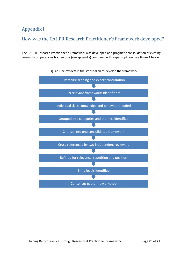### Appendix I

#### <span id="page-20-0"></span>How was the CAHPR Research Practitioner's Framework developed?

The CAHPR Research Practitioner's Framework was developed as a pragmatic consolidation of existing research competencies frameworks (see appendix) combined with expert opinion (see figure 1 below)



Figure 1 below details the steps taken to develop the framework.